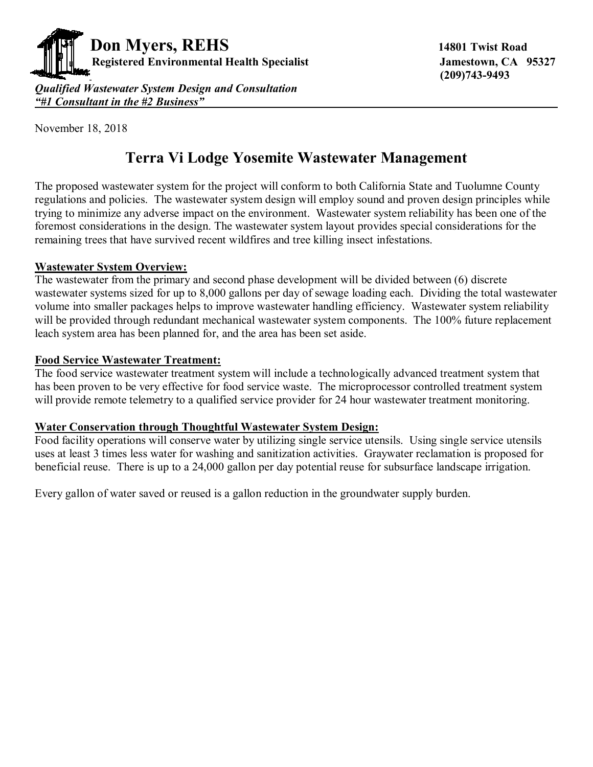

 **(209)743-9493** 

*"#1 Consultant in the #2 Business"* 

#### November 18, 2018

# **Terra Vi Lodge Yosemite Wastewater Management**

The proposed wastewater system for the project will conform to both California State and Tuolumne County regulations and policies. The wastewater system design will employ sound and proven design principles while trying to minimize any adverse impact on the environment. Wastewater system reliability has been one of the foremost considerations in the design. The wastewater system layout provides special considerations for the remaining trees that have survived recent wildfires and tree killing insect infestations.

#### **Wastewater System Overview:**

The wastewater from the primary and second phase development will be divided between (6) discrete wastewater systems sized for up to 8,000 gallons per day of sewage loading each. Dividing the total wastewater volume into smaller packages helps to improve wastewater handling efficiency. Wastewater system reliability will be provided through redundant mechanical wastewater system components. The 100% future replacement leach system area has been planned for, and the area has been set aside.

#### **Food Service Wastewater Treatment:**

The food service wastewater treatment system will include a technologically advanced treatment system that has been proven to be very effective for food service waste. The microprocessor controlled treatment system will provide remote telemetry to a qualified service provider for 24 hour wastewater treatment monitoring.

## **Water Conservation through Thoughtful Wastewater System Design:**

Food facility operations will conserve water by utilizing single service utensils. Using single service utensils uses at least 3 times less water for washing and sanitization activities. Graywater reclamation is proposed for beneficial reuse. There is up to a 24,000 gallon per day potential reuse for subsurface landscape irrigation.

Every gallon of water saved or reused is a gallon reduction in the groundwater supply burden.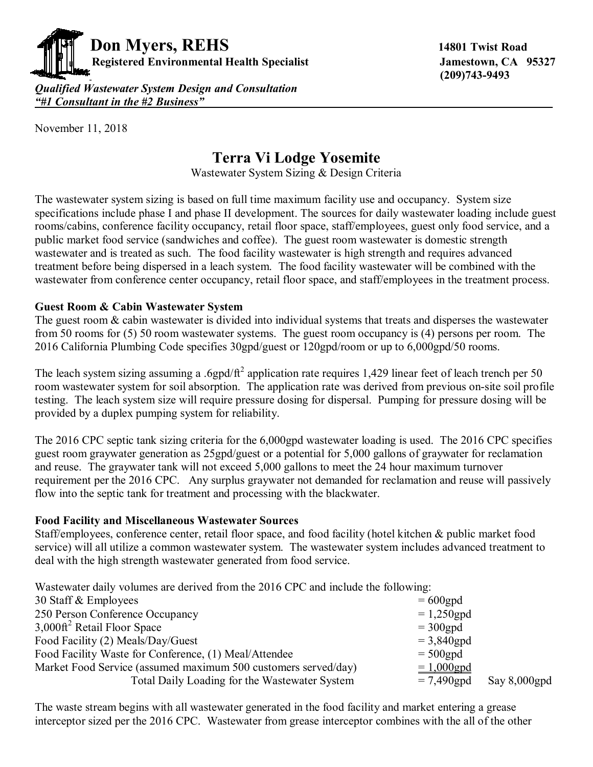

 **(209)743-9493** 

*Qualified Wastewater System Design and Consultation "#1 Consultant in the #2 Business"***\_\_\_\_\_\_\_\_\_\_\_\_\_\_\_\_\_\_\_\_\_\_\_\_\_\_\_\_\_\_\_\_\_\_\_\_\_\_\_\_\_\_\_\_\_\_\_\_\_\_\_\_\_\_\_\_\_\_\_\_**

November 11, 2018

## **Terra Vi Lodge Yosemite**

Wastewater System Sizing & Design Criteria

The wastewater system sizing is based on full time maximum facility use and occupancy. System size specifications include phase I and phase II development. The sources for daily wastewater loading include guest rooms/cabins, conference facility occupancy, retail floor space, staff/employees, guest only food service, and a public market food service (sandwiches and coffee). The guest room wastewater is domestic strength wastewater and is treated as such. The food facility wastewater is high strength and requires advanced treatment before being dispersed in a leach system. The food facility wastewater will be combined with the wastewater from conference center occupancy, retail floor space, and staff/employees in the treatment process.

## **Guest Room & Cabin Wastewater System**

The guest room & cabin wastewater is divided into individual systems that treats and disperses the wastewater from 50 rooms for (5) 50 room wastewater systems. The guest room occupancy is (4) persons per room. The 2016 California Plumbing Code specifies 30gpd/guest or 120gpd/room or up to 6,000gpd/50 rooms.

The leach system sizing assuming a .6gpd/ $\text{ft}^2$  application rate requires 1,429 linear feet of leach trench per 50 room wastewater system for soil absorption. The application rate was derived from previous on-site soil profile testing. The leach system size will require pressure dosing for dispersal. Pumping for pressure dosing will be provided by a duplex pumping system for reliability.

The 2016 CPC septic tank sizing criteria for the 6,000gpd wastewater loading is used. The 2016 CPC specifies guest room graywater generation as 25gpd/guest or a potential for 5,000 gallons of graywater for reclamation and reuse. The graywater tank will not exceed 5,000 gallons to meet the 24 hour maximum turnover requirement per the 2016 CPC. Any surplus graywater not demanded for reclamation and reuse will passively flow into the septic tank for treatment and processing with the blackwater.

## **Food Facility and Miscellaneous Wastewater Sources**

Staff/employees, conference center, retail floor space, and food facility (hotel kitchen & public market food service) will all utilize a common wastewater system. The wastewater system includes advanced treatment to deal with the high strength wastewater generated from food service.

Wastewater daily volumes are derived from the 2016 CPC and include the following:

| 30 Staff & Employees                                           | $= 600$ gpd   |                 |
|----------------------------------------------------------------|---------------|-----------------|
| 250 Person Conference Occupancy                                | $= 1,250$ gpd |                 |
| $3,000$ ft <sup>2</sup> Retail Floor Space                     | $= 300$ gpd   |                 |
| Food Facility (2) Meals/Day/Guest                              | $= 3,840$ gpd |                 |
| Food Facility Waste for Conference, (1) Meal/Attendee          | $= 500$ gpd   |                 |
| Market Food Service (assumed maximum 500 customers served/day) | $= 1,000$ gpd |                 |
| Total Daily Loading for the Wastewater System                  | $= 7,490$ gpd | Say $8,000$ gpd |
|                                                                |               |                 |

The waste stream begins with all wastewater generated in the food facility and market entering a grease interceptor sized per the 2016 CPC. Wastewater from grease interceptor combines with the all of the other